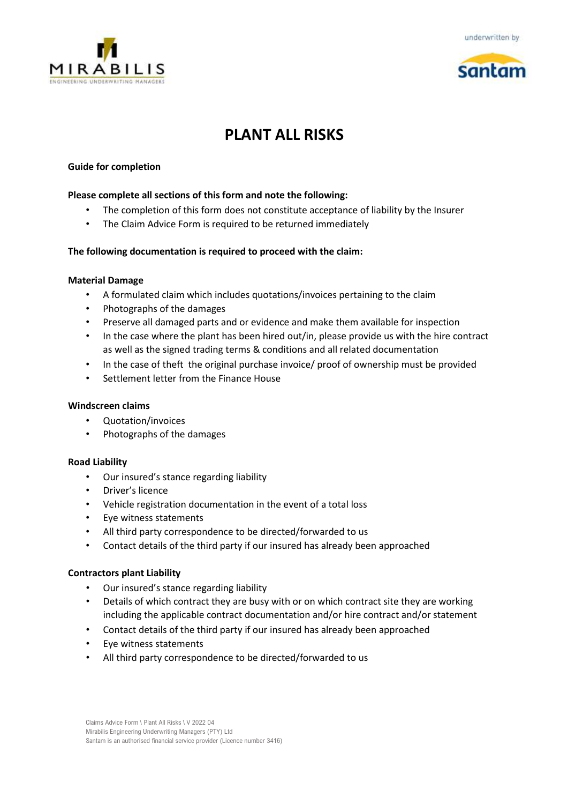





# **PLANT ALL RISKS**

#### **Guide for completion**

#### **Please complete all sections of this form and note the following:**

- The completion of this form does not constitute acceptance of liability by the Insurer
- The Claim Advice Form is required to be returned immediately

#### **The following documentation is required to proceed with the claim:**

#### **Material Damage**

- A formulated claim which includes quotations/invoices pertaining to the claim
- Photographs of the damages
- Preserve all damaged parts and or evidence and make them available for inspection
- In the case where the plant has been hired out/in, please provide us with the hire contract as well as the signed trading terms & conditions and all related documentation
- In the case of theft the original purchase invoice/ proof of ownership must be provided
- Settlement letter from the Finance House

#### **Windscreen claims**

- Quotation/invoices
- Photographs of the damages

#### **Road Liability**

- Our insured's stance regarding liability
- Driver's licence
- Vehicle registration documentation in the event of a total loss
- Eye witness statements
- All third party correspondence to be directed/forwarded to us
- Contact details of the third party if our insured has already been approached

#### **Contractors plant Liability**

- Our insured's stance regarding liability
- Details of which contract they are busy with or on which contract site they are working including the applicable contract documentation and/or hire contract and/or statement
- Contact details of the third party if our insured has already been approached
- Eye witness statements
- All third party correspondence to be directed/forwarded to us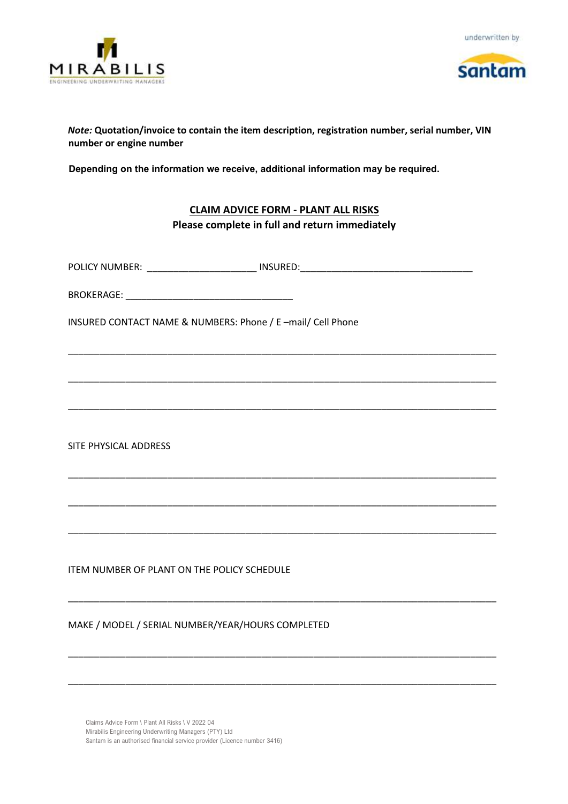



### *Note:* **Quotation/invoice to contain the item description, registration number, serial number, VIN number or engine number**

**Depending on the information we receive, additional information may be required.** 

## **CLAIM ADVICE FORM - PLANT ALL RISKS Please complete in full and return immediately**

\_\_\_\_\_\_\_\_\_\_\_\_\_\_\_\_\_\_\_\_\_\_\_\_\_\_\_\_\_\_\_\_\_\_\_\_\_\_\_\_\_\_\_\_\_\_\_\_\_\_\_\_\_\_\_\_\_\_\_\_\_\_\_\_\_\_\_\_\_\_\_\_\_\_\_\_\_\_\_\_\_\_

\_\_\_\_\_\_\_\_\_\_\_\_\_\_\_\_\_\_\_\_\_\_\_\_\_\_\_\_\_\_\_\_\_\_\_\_\_\_\_\_\_\_\_\_\_\_\_\_\_\_\_\_\_\_\_\_\_\_\_\_\_\_\_\_\_\_\_\_\_\_\_\_\_\_\_\_\_\_\_\_\_\_

\_\_\_\_\_\_\_\_\_\_\_\_\_\_\_\_\_\_\_\_\_\_\_\_\_\_\_\_\_\_\_\_\_\_\_\_\_\_\_\_\_\_\_\_\_\_\_\_\_\_\_\_\_\_\_\_\_\_\_\_\_\_\_\_\_\_\_\_\_\_\_\_\_\_\_\_\_\_\_\_\_\_

\_\_\_\_\_\_\_\_\_\_\_\_\_\_\_\_\_\_\_\_\_\_\_\_\_\_\_\_\_\_\_\_\_\_\_\_\_\_\_\_\_\_\_\_\_\_\_\_\_\_\_\_\_\_\_\_\_\_\_\_\_\_\_\_\_\_\_\_\_\_\_\_\_\_\_\_\_\_\_\_\_\_

\_\_\_\_\_\_\_\_\_\_\_\_\_\_\_\_\_\_\_\_\_\_\_\_\_\_\_\_\_\_\_\_\_\_\_\_\_\_\_\_\_\_\_\_\_\_\_\_\_\_\_\_\_\_\_\_\_\_\_\_\_\_\_\_\_\_\_\_\_\_\_\_\_\_\_\_\_\_\_\_\_\_

\_\_\_\_\_\_\_\_\_\_\_\_\_\_\_\_\_\_\_\_\_\_\_\_\_\_\_\_\_\_\_\_\_\_\_\_\_\_\_\_\_\_\_\_\_\_\_\_\_\_\_\_\_\_\_\_\_\_\_\_\_\_\_\_\_\_\_\_\_\_\_\_\_\_\_\_\_\_\_\_\_\_

\_\_\_\_\_\_\_\_\_\_\_\_\_\_\_\_\_\_\_\_\_\_\_\_\_\_\_\_\_\_\_\_\_\_\_\_\_\_\_\_\_\_\_\_\_\_\_\_\_\_\_\_\_\_\_\_\_\_\_\_\_\_\_\_\_\_\_\_\_\_\_\_\_\_\_\_\_\_\_\_\_\_

\_\_\_\_\_\_\_\_\_\_\_\_\_\_\_\_\_\_\_\_\_\_\_\_\_\_\_\_\_\_\_\_\_\_\_\_\_\_\_\_\_\_\_\_\_\_\_\_\_\_\_\_\_\_\_\_\_\_\_\_\_\_\_\_\_\_\_\_\_\_\_\_\_\_\_\_\_\_\_\_\_\_

\_\_\_\_\_\_\_\_\_\_\_\_\_\_\_\_\_\_\_\_\_\_\_\_\_\_\_\_\_\_\_\_\_\_\_\_\_\_\_\_\_\_\_\_\_\_\_\_\_\_\_\_\_\_\_\_\_\_\_\_\_\_\_\_\_\_\_\_\_\_\_\_\_\_\_\_\_\_\_\_\_\_

POLICY NUMBER: The contract of the set of the set of the set of the set of the set of the set of the set of the set of the set of the set of the set of the set of the set of the set of the set of the set of the set of the

BROKERAGE: \_\_\_\_\_\_\_\_\_\_\_\_\_\_\_\_\_\_\_\_\_\_\_\_\_\_\_\_\_\_\_\_

INSURED CONTACT NAME & NUMBERS: Phone / E –mail/ Cell Phone

SITE PHYSICAL ADDRESS

ITEM NUMBER OF PLANT ON THE POLICY SCHEDULE

MAKE / MODEL / SERIAL NUMBER/YEAR/HOURS COMPLETED

Claims Advice Form \ Plant All Risks \ V 2022 04 Mirabilis Engineering Underwriting Managers (PTY) Ltd Santam is an authorised financial service provider (Licence number 3416)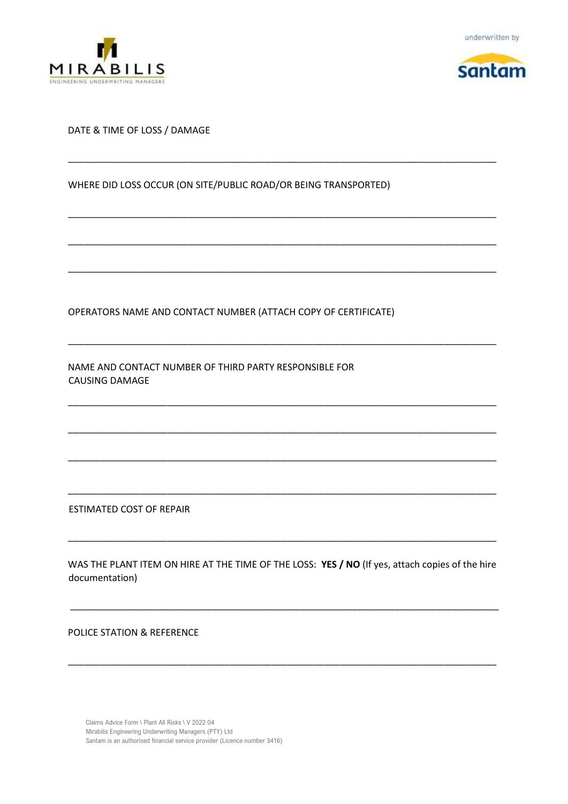





#### DATE & TIME OF LOSS / DAMAGE

WHERE DID LOSS OCCUR (ON SITE/PUBLIC ROAD/OR BEING TRANSPORTED)

\_\_\_\_\_\_\_\_\_\_\_\_\_\_\_\_\_\_\_\_\_\_\_\_\_\_\_\_\_\_\_\_\_\_\_\_\_\_\_\_\_\_\_\_\_\_\_\_\_\_\_\_\_\_\_\_\_\_\_\_\_\_\_\_\_\_\_\_\_\_\_\_\_\_\_\_\_\_\_\_\_\_

\_\_\_\_\_\_\_\_\_\_\_\_\_\_\_\_\_\_\_\_\_\_\_\_\_\_\_\_\_\_\_\_\_\_\_\_\_\_\_\_\_\_\_\_\_\_\_\_\_\_\_\_\_\_\_\_\_\_\_\_\_\_\_\_\_\_\_\_\_\_\_\_\_\_\_\_\_\_\_\_\_\_

\_\_\_\_\_\_\_\_\_\_\_\_\_\_\_\_\_\_\_\_\_\_\_\_\_\_\_\_\_\_\_\_\_\_\_\_\_\_\_\_\_\_\_\_\_\_\_\_\_\_\_\_\_\_\_\_\_\_\_\_\_\_\_\_\_\_\_\_\_\_\_\_\_\_\_\_\_\_\_\_\_\_

\_\_\_\_\_\_\_\_\_\_\_\_\_\_\_\_\_\_\_\_\_\_\_\_\_\_\_\_\_\_\_\_\_\_\_\_\_\_\_\_\_\_\_\_\_\_\_\_\_\_\_\_\_\_\_\_\_\_\_\_\_\_\_\_\_\_\_\_\_\_\_\_\_\_\_\_\_\_\_\_\_\_

\_\_\_\_\_\_\_\_\_\_\_\_\_\_\_\_\_\_\_\_\_\_\_\_\_\_\_\_\_\_\_\_\_\_\_\_\_\_\_\_\_\_\_\_\_\_\_\_\_\_\_\_\_\_\_\_\_\_\_\_\_\_\_\_\_\_\_\_\_\_\_\_\_\_\_\_\_\_\_\_\_\_

\_\_\_\_\_\_\_\_\_\_\_\_\_\_\_\_\_\_\_\_\_\_\_\_\_\_\_\_\_\_\_\_\_\_\_\_\_\_\_\_\_\_\_\_\_\_\_\_\_\_\_\_\_\_\_\_\_\_\_\_\_\_\_\_\_\_\_\_\_\_\_\_\_\_\_\_\_\_\_\_\_\_

\_\_\_\_\_\_\_\_\_\_\_\_\_\_\_\_\_\_\_\_\_\_\_\_\_\_\_\_\_\_\_\_\_\_\_\_\_\_\_\_\_\_\_\_\_\_\_\_\_\_\_\_\_\_\_\_\_\_\_\_\_\_\_\_\_\_\_\_\_\_\_\_\_\_\_\_\_\_\_\_\_\_

\_\_\_\_\_\_\_\_\_\_\_\_\_\_\_\_\_\_\_\_\_\_\_\_\_\_\_\_\_\_\_\_\_\_\_\_\_\_\_\_\_\_\_\_\_\_\_\_\_\_\_\_\_\_\_\_\_\_\_\_\_\_\_\_\_\_\_\_\_\_\_\_\_\_\_\_\_\_\_\_\_\_

\_\_\_\_\_\_\_\_\_\_\_\_\_\_\_\_\_\_\_\_\_\_\_\_\_\_\_\_\_\_\_\_\_\_\_\_\_\_\_\_\_\_\_\_\_\_\_\_\_\_\_\_\_\_\_\_\_\_\_\_\_\_\_\_\_\_\_\_\_\_\_\_\_\_\_\_\_\_\_\_\_\_

OPERATORS NAME AND CONTACT NUMBER (ATTACH COPY OF CERTIFICATE)

NAME AND CONTACT NUMBER OF THIRD PARTY RESPONSIBLE FOR CAUSING DAMAGE

ESTIMATED COST OF REPAIR

WAS THE PLANT ITEM ON HIRE AT THE TIME OF THE LOSS: **YES / NO** (If yes, attach copies of the hire documentation)

\_\_\_\_\_\_\_\_\_\_\_\_\_\_\_\_\_\_\_\_\_\_\_\_\_\_\_\_\_\_\_\_\_\_\_\_\_\_\_\_\_\_\_\_\_\_\_\_\_\_\_\_\_\_\_\_\_\_\_\_\_\_\_\_\_\_\_\_\_\_\_\_\_\_\_\_\_\_\_\_\_\_

\_\_\_\_\_\_\_\_\_\_\_\_\_\_\_\_\_\_\_\_\_\_\_\_\_\_\_\_\_\_\_\_\_\_\_\_\_\_\_\_\_\_\_\_\_\_\_\_\_\_\_\_\_\_\_\_\_\_\_\_\_\_\_\_\_\_\_\_\_\_\_\_\_\_\_\_\_\_\_\_\_\_

\_\_\_\_\_\_\_\_\_\_\_\_\_\_\_\_\_\_\_\_\_\_\_\_\_\_\_\_\_\_\_\_\_\_\_\_\_\_\_\_\_\_\_\_\_\_\_\_\_\_\_\_\_\_\_\_\_\_\_\_\_\_\_\_\_\_\_\_\_\_\_\_\_\_\_\_\_\_\_\_\_\_

POLICE STATION & REFERENCE

Claims Advice Form \ Plant All Risks \ V 2022 04 Mirabilis Engineering Underwriting Managers (PTY) Ltd Santam is an authorised financial service provider (Licence number 3416)